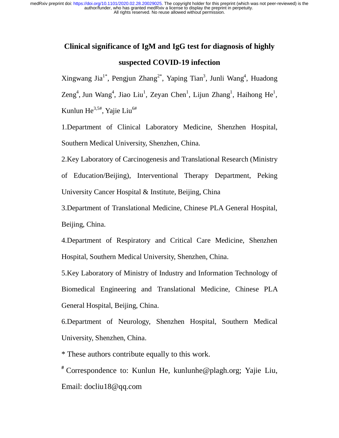# **Clinical significance of IgM and IgG test for diagnosis of highly suspected COVID-19 infection**

Xingwang Jia<sup>1\*</sup>, Pengjun Zhang<sup>2\*</sup>, Yaping Tian<sup>3</sup>, Junli Wang<sup>4</sup>, Huadong  $\text{Zeng}^4$ , Jun Wang<sup>4</sup>, Jiao Liu<sup>1</sup>, Zeyan Chen<sup>1</sup>, Lijun Zhang<sup>1</sup>, Haihong He<sup>1</sup>, Kunlun He<sup>3,5#</sup>, Yajie Liu<sup>6#</sup>

1.Department of Clinical Laboratory Medicine, Shenzhen Hospital, Southern Medical University, Shenzhen, China.

2.Key Laboratory of Carcinogenesis and Translational Research (Ministry of Education/Beijing), Interventional Therapy Department, Peking University Cancer Hospital & Institute, Beijing, China

3.Department of Translational Medicine, Chinese PLA General Hospital, Beijing, China.

4.Department of Respiratory and Critical Care Medicine, Shenzhen Hospital, Southern Medical University, Shenzhen, China.

5.Key Laboratory of Ministry of Industry and Information Technology of Biomedical Engineering and Translational Medicine, Chinese PLA General Hospital, Beijing, China.

6.Department of Neurology, Shenzhen Hospital, Southern Medical University, Shenzhen, China.

\* These authors contribute equally to this work.

**#** Correspondence to: Kunlun He, kunlunhe@plagh.org; Yajie Liu, Email: docliu18@qq.com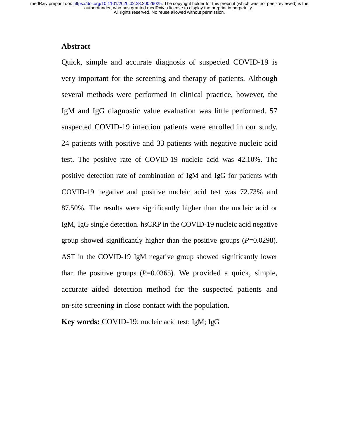# **Abstract**

Quick, simple and accurate diagnosis of suspected COVID-19 is very important for the screening and therapy of patients. Although several methods were performed in clinical practice, however, the IgM and IgG diagnostic value evaluation was little performed. 57 suspected COVID-19 infection patients were enrolled in our study. 24 patients with positive and 33 patients with negative nucleic acid test. The positive rate of COVID-19 nucleic acid was 42.10%. The positive detection rate of combination of IgM and IgG for patients with COVID-19 negative and positive nucleic acid test was 72.73% and 87.50%. The results were significantly higher than the nucleic acid or IgM, IgG single detection. hsCRP in the COVID-19 nucleic acid negative group showed significantly higher than the positive groups (*P*=0.0298). AST in the COVID-19 IgM negative group showed significantly lower than the positive groups  $(P=0.0365)$ . We provided a quick, simple, accurate aided detection method for the suspected patients and on-site screening in close contact with the population.

**Key words:** COVID-19; nucleic acid test; IgM; IgG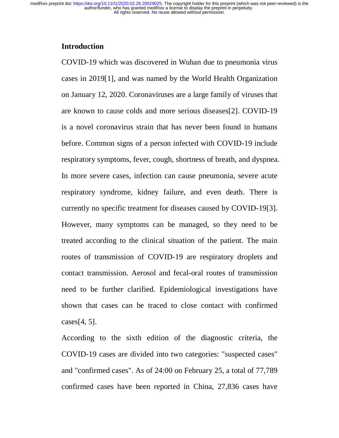# **Introduction**

COVID-19 which was discovered in Wuhan due to pneumonia virus cases in 2019[1], and was named by the World Health Organization on January 12, 2020. Coronaviruses are a large family of viruses that are known to cause colds and more serious diseases[2]. COVID-19 is a novel coronavirus strain that has never been found in humans before. Common signs of a person infected with COVID-19 include respiratory symptoms, fever, cough, shortness of breath, and dyspnea. In more severe cases, infection can cause pneumonia, severe acute respiratory syndrome, kidney failure, and even death. There is currently no specific treatment for diseases caused by COVID-19[3]. However, many symptoms can be managed, so they need to be treated according to the clinical situation of the patient. The main routes of transmission of COVID-19 are respiratory droplets and contact transmission. Aerosol and fecal-oral routes of transmission need to be further clarified. Epidemiological investigations have shown that cases can be traced to close contact with confirmed cases[4, 5].

According to the sixth edition of the diagnostic criteria, the COVID-19 cases are divided into two categories: "suspected cases" and "confirmed cases". As of 24:00 on February 25, a total of 77,789 confirmed cases have been reported in China, 27,836 cases have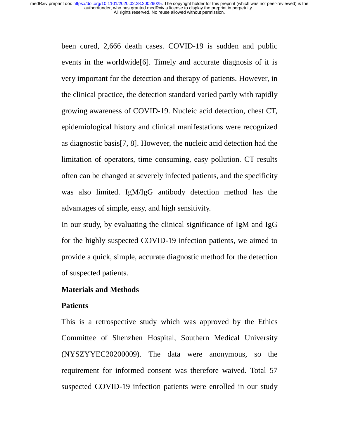> been cured, 2,666 death cases. COVID-19 is sudden and public events in the worldwide[6]. Timely and accurate diagnosis of it is very important for the detection and therapy of patients. However, in the clinical practice, the detection standard varied partly with rapidly growing awareness of COVID-19. Nucleic acid detection, chest CT, epidemiological history and clinical manifestations were recognized as diagnostic basis[7, 8]. However, the nucleic acid detection had the limitation of operators, time consuming, easy pollution. CT results often can be changed at severely infected patients, and the specificity was also limited. IgM/IgG antibody detection method has the advantages of simple, easy, and high sensitivity.

> In our study, by evaluating the clinical significance of IgM and IgG for the highly suspected COVID-19 infection patients, we aimed to provide a quick, simple, accurate diagnostic method for the detection of suspected patients.

# **Materials and Methods**

#### **Patients**

This is a retrospective study which was approved by the Ethics Committee of Shenzhen Hospital, Southern Medical University (NYSZYYEC20200009). The data were anonymous, so the requirement for informed consent was therefore waived. Total 57 suspected COVID-19 infection patients were enrolled in our study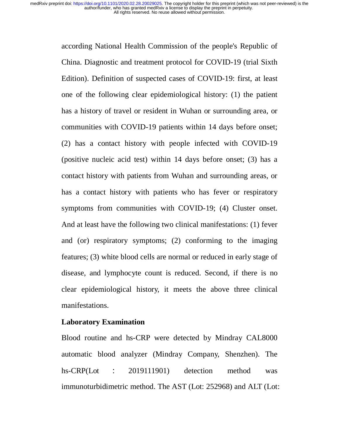> according National Health Commission of the people's Republic of China. Diagnostic and treatment protocol for COVID-19 (trial Sixth Edition). Definition of suspected cases of COVID-19: first, at least one of the following clear epidemiological history: (1) the patient has a history of travel or resident in Wuhan or surrounding area, or communities with COVID-19 patients within 14 days before onset; (2) has a contact history with people infected with COVID-19 (positive nucleic acid test) within 14 days before onset; (3) has a contact history with patients from Wuhan and surrounding areas, or has a contact history with patients who has fever or respiratory symptoms from communities with COVID-19; (4) Cluster onset. And at least have the following two clinical manifestations: (1) fever and (or) respiratory symptoms; (2) conforming to the imaging features; (3) white blood cells are normal or reduced in early stage of disease, and lymphocyte count is reduced. Second, if there is no clear epidemiological history, it meets the above three clinical manifestations.

## **Laboratory Examination**

Blood routine and hs-CRP were detected by Mindray CAL8000 automatic blood analyzer (Mindray Company, Shenzhen). The hs-CRP(Lot : 2019111901) detection method was immunoturbidimetric method. The AST (Lot: 252968) and ALT (Lot: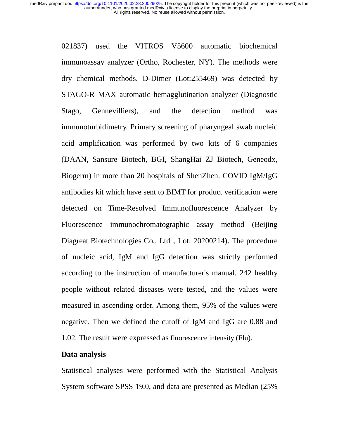> 021837) used the VITROS V5600 automatic biochemical immunoassay analyzer (Ortho, Rochester, NY). The methods were dry chemical methods. D-Dimer (Lot:255469) was detected by STAGO-R MAX automatic hemagglutination analyzer (Diagnostic Stago, Gennevilliers), and the detection method was immunoturbidimetry. Primary screening of pharyngeal swab nucleic acid amplification was performed by two kits of 6 companies (DAAN, Sansure Biotech, BGI, ShangHai ZJ Biotech, Geneodx, Biogerm) in more than 20 hospitals of ShenZhen. COVID IgM/IgG antibodies kit which have sent to BIMT for product verification were detected on Time-Resolved Immunofluorescence Analyzer by Fluorescence immunochromatographic assay method (Beijing Diagreat Biotechnologies Co., Ltd, Lot: 20200214). The procedure of nucleic acid, IgM and IgG detection was strictly performed according to the instruction of manufacturer's manual. 242 healthy people without related diseases were tested, and the values were measured in ascending order. Among them, 95% of the values were negative. Then we defined the cutoff of IgM and IgG are 0.88 and 1.02. The result were expressed as fluorescence intensity (Flu).

#### **Data analysis**

Statistical analyses were performed with the Statistical Analysis System software SPSS 19.0, and data are presented as Median (25%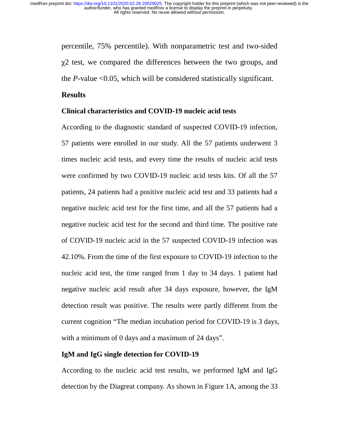> percentile, 75% percentile). With nonparametric test and two-sided  $\gamma$ 2 test, we compared the differences between the two groups, and the *P*-value <0.05, which will be considered statistically significant.

## **Results**

## **Clinical characteristics and COVID-19 nucleic acid tests**

According to the diagnostic standard of suspected COVID-19 infection, 57 patients were enrolled in our study. All the 57 patients underwent 3 times nucleic acid tests, and every time the results of nucleic acid tests were confirmed by two COVID-19 nucleic acid tests kits. Of all the 57 patients, 24 patients had a positive nucleic acid test and 33 patients had a negative nucleic acid test for the first time, and all the 57 patients had a negative nucleic acid test for the second and third time. The positive rate of COVID-19 nucleic acid in the 57 suspected COVID-19 infection was 42.10%. From the time of the first exposure to COVID-19 infection to the nucleic acid test, the time ranged from 1 day to 34 days. 1 patient had negative nucleic acid result after 34 days exposure, however, the IgM detection result was positive. The results were partly different from the current cognition "The median incubation period for COVID-19 is 3 days, with a minimum of 0 days and a maximum of 24 days".

#### **IgM and IgG single detection for COVID-19**

According to the nucleic acid test results, we performed IgM and IgG detection by the Diagreat company. As shown in Figure 1A, among the 33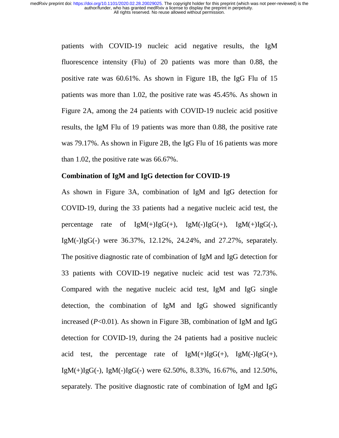> patients with COVID-19 nucleic acid negative results, the IgM fluorescence intensity (Flu) of 20 patients was more than 0.88, the positive rate was 60.61%. As shown in Figure 1B, the IgG Flu of 15 patients was more than 1.02, the positive rate was 45.45%. As shown in Figure 2A, among the 24 patients with COVID-19 nucleic acid positive results, the IgM Flu of 19 patients was more than 0.88, the positive rate was 79.17%. As shown in Figure 2B, the IgG Flu of 16 patients was more than 1.02, the positive rate was 66.67%.

#### **Combination of IgM and IgG detection for COVID-19**

As shown in Figure 3A, combination of IgM and IgG detection for COVID-19, during the 33 patients had a negative nucleic acid test, the percentage rate of  $IgM(+)IgG(+)$ ,  $IgM(-)IgG(+)$ ,  $IgM(+)IgG(-)$ , IgM(-)IgG(-) were 36.37%, 12.12%, 24.24%, and 27.27%, separately. The positive diagnostic rate of combination of IgM and IgG detection for 33 patients with COVID-19 negative nucleic acid test was 72.73%. Compared with the negative nucleic acid test, IgM and IgG single detection, the combination of IgM and IgG showed significantly increased (*P*<0.01). As shown in Figure 3B, combination of IgM and IgG detection for COVID-19, during the 24 patients had a positive nucleic acid test, the percentage rate of  $IgM(+)IgG(+)$ ,  $IgM(-)IgG(+)$ , IgM(+)IgG(-), IgM(-)IgG(-) were 62.50%, 8.33%, 16.67%, and 12.50%, separately. The positive diagnostic rate of combination of IgM and IgG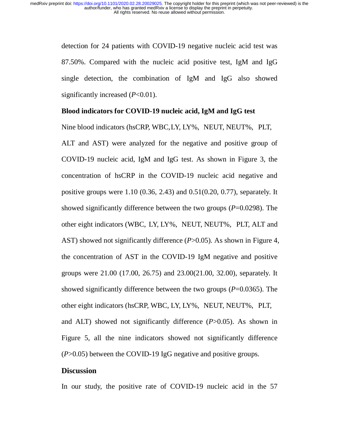> detection for 24 patients with COVID-19 negative nucleic acid test was 87.50%. Compared with the nucleic acid positive test, IgM and IgG single detection, the combination of IgM and IgG also showed significantly increased (*P*<0.01).

#### **Blood indicators for COVID-19 nucleic acid, IgM and IgG test**

Nine blood indicators (hsCRP, WBC, LY, LY%, NEUT, NEUT%, PLT,

ALT and AST) were analyzed for the negative and positive group of COVID-19 nucleic acid, IgM and IgG test. As shown in Figure 3, the concentration of hsCRP in the COVID-19 nucleic acid negative and positive groups were 1.10 (0.36, 2.43) and 0.51(0.20, 0.77), separately. It showed significantly difference between the two groups (*P*=0.0298). The other eight indicators (WBC, LY, LY%, NEUT, NEUT%, PLT, ALT and AST) showed not significantly difference (*P*>0.05). As shown in Figure 4, the concentration of AST in the COVID-19 IgM negative and positive groups were 21.00 (17.00, 26.75) and 23.00(21.00, 32.00), separately. It showed significantly difference between the two groups (*P*=0.0365). The other eight indicators (hsCRP, WBC, LY, LY%, NEUT, NEUT%, PLT, and ALT) showed not significantly difference (*P*>0.05). As shown in Figure 5, all the nine indicators showed not significantly difference (*P*>0.05) between the COVID-19 IgG negative and positive groups.

### **Discussion**

In our study, the positive rate of COVID-19 nucleic acid in the 57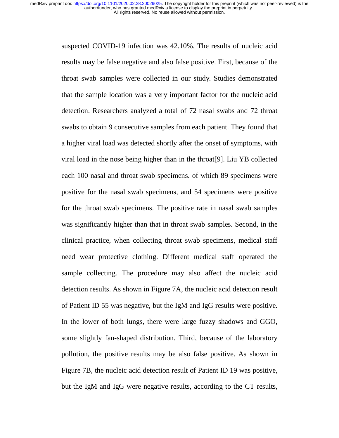> suspected COVID-19 infection was 42.10%. The results of nucleic acid results may be false negative and also false positive. First, because of the throat swab samples were collected in our study. Studies demonstrated that the sample location was a very important factor for the nucleic acid detection. Researchers analyzed a total of 72 nasal swabs and 72 throat swabs to obtain 9 consecutive samples from each patient. They found that a higher viral load was detected shortly after the onset of symptoms, with viral load in the nose being higher than in the throat[9]. Liu YB collected each 100 nasal and throat swab specimens. of which 89 specimens were positive for the nasal swab specimens, and 54 specimens were positive for the throat swab specimens. The positive rate in nasal swab samples was significantly higher than that in throat swab samples. Second, in the clinical practice, when collecting throat swab specimens, medical staff need wear protective clothing. Different medical staff operated the sample collecting. The procedure may also affect the nucleic acid detection results. As shown in Figure 7A, the nucleic acid detection result of Patient ID 55 was negative, but the IgM and IgG results were positive. In the lower of both lungs, there were large fuzzy shadows and GGO, some slightly fan-shaped distribution. Third, because of the laboratory pollution, the positive results may be also false positive. As shown in Figure 7B, the nucleic acid detection result of Patient ID 19 was positive, but the IgM and IgG were negative results, according to the CT results,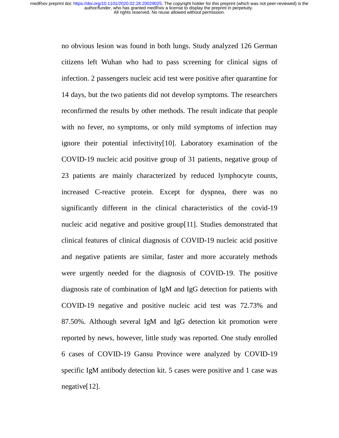> no obvious lesion was found in both lungs. Study analyzed 126 German citizens left Wuhan who had to pass screening for clinical signs of infection. 2 passengers nucleic acid test were positive after quarantine for 14 days, but the two patients did not develop symptoms. The researchers reconfirmed the results by other methods. The result indicate that people with no fever, no symptoms, or only mild symptoms of infection may ignore their potential infectivity[10]. Laboratory examination of the COVID-19 nucleic acid positive group of 31 patients, negative group of 23 patients are mainly characterized by reduced lymphocyte counts, increased C-reactive protein. Except for dyspnea, there was no significantly different in the clinical characteristics of the covid-19 nucleic acid negative and positive group[11]. Studies demonstrated that clinical features of clinical diagnosis of COVID-19 nucleic acid positive and negative patients are similar, faster and more accurately methods were urgently needed for the diagnosis of COVID-19. The positive diagnosis rate of combination of IgM and IgG detection for patients with COVID-19 negative and positive nucleic acid test was 72.73% and 87.50%. Although several IgM and IgG detection kit promotion were reported by news, however, little study was reported. One study enrolled 6 cases of COVID-19 Gansu Province were analyzed by COVID-19 specific IgM antibody detection kit. 5 cases were positive and 1 case was negative[12].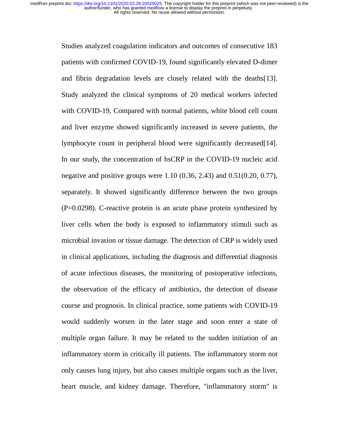> Studies analyzed coagulation indicators and outcomes of consecutive 183 patients with confirmed COVID-19, found significantly elevated D-dimer and fibrin degradation levels are closely related with the deaths[13]. Study analyzed the clinical symptoms of 20 medical workers infected with COVID-19, Compared with normal patients, white blood cell count and liver enzyme showed significantly increased in severe patients, the lymphocyte count in peripheral blood were significantly decreased[14]. In our study, the concentration of hsCRP in the COVID-19 nucleic acid negative and positive groups were 1.10 (0.36, 2.43) and 0.51(0.20, 0.77), separately. It showed significantly difference between the two groups (P=0.0298). C-reactive protein is an acute phase protein synthesized by liver cells when the body is exposed to inflammatory stimuli such as microbial invasion or tissue damage. The detection of CRP is widely used in clinical applications, including the diagnosis and differential diagnosis of acute infectious diseases, the monitoring of postoperative infections, the observation of the efficacy of antibiotics, the detection of disease course and prognosis. In clinical practice, some patients with COVID-19 would suddenly worsen in the later stage and soon enter a state of multiple organ failure. It may be related to the sudden initiation of an inflammatory storm in critically ill patients. The inflammatory storm not only causes lung injury, but also causes multiple organs such as the liver, heart muscle, and kidney damage. Therefore, "inflammatory storm" is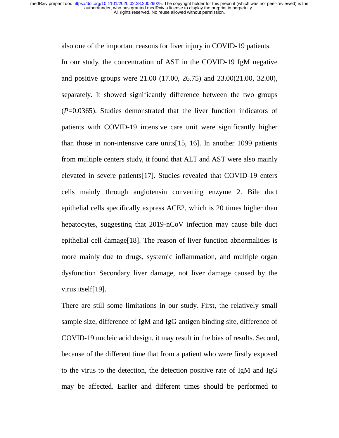also one of the important reasons for liver injury in COVID-19 patients.

In our study, the concentration of AST in the COVID-19 IgM negative and positive groups were 21.00 (17.00, 26.75) and 23.00(21.00, 32.00), separately. It showed significantly difference between the two groups (*P*=0.0365). Studies demonstrated that the liver function indicators of patients with COVID-19 intensive care unit were significantly higher than those in non-intensive care units[15, 16]. In another 1099 patients from multiple centers study, it found that ALT and AST were also mainly elevated in severe patients[17]. Studies revealed that COVID-19 enters cells mainly through angiotensin converting enzyme 2. Bile duct epithelial cells specifically express ACE2, which is 20 times higher than hepatocytes, suggesting that 2019-nCoV infection may cause bile duct epithelial cell damage[18]. The reason of liver function abnormalities is more mainly due to drugs, systemic inflammation, and multiple organ dysfunction Secondary liver damage, not liver damage caused by the virus itself[19].

There are still some limitations in our study. First, the relatively small sample size, difference of IgM and IgG antigen binding site, difference of COVID-19 nucleic acid design, it may result in the bias of results. Second, because of the different time that from a patient who were firstly exposed to the virus to the detection, the detection positive rate of IgM and IgG may be affected. Earlier and different times should be performed to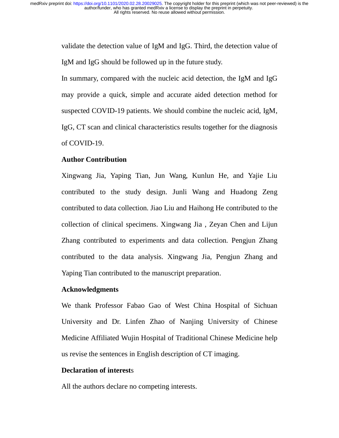> validate the detection value of IgM and IgG. Third, the detection value of IgM and IgG should be followed up in the future study.

> In summary, compared with the nucleic acid detection, the IgM and IgG may provide a quick, simple and accurate aided detection method for suspected COVID-19 patients. We should combine the nucleic acid, IgM, IgG, CT scan and clinical characteristics results together for the diagnosis of COVID-19.

#### **Author Contribution**

Xingwang Jia, Yaping Tian, Jun Wang, Kunlun He, and Yajie Liu contributed to the study design. Junli Wang and Huadong Zeng contributed to data collection. Jiao Liu and Haihong He contributed to the collection of clinical specimens. Xingwang Jia , Zeyan Chen and Lijun Zhang contributed to experiments and data collection. Pengjun Zhang contributed to the data analysis. Xingwang Jia, Pengjun Zhang and Yaping Tian contributed to the manuscript preparation.

#### **Acknowledgments**

We thank Professor Fabao Gao of West China Hospital of Sichuan University and Dr. Linfen Zhao of Nanjing University of Chinese Medicine Affiliated Wujin Hospital of Traditional Chinese Medicine help us revise the sentences in English description of CT imaging.

## **Declaration of interest**s

All the authors declare no competing interests.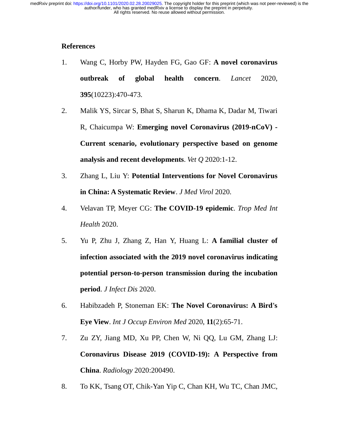# **References**

- 1. Wang C, Horby PW, Hayden FG, Gao GF: **A novel coronavirus outbreak of global health concern**. *Lancet* 2020, **395**(10223):470-473.
- 2. Malik YS, Sircar S, Bhat S, Sharun K, Dhama K, Dadar M, Tiwari R, Chaicumpa W: **Emerging novel Coronavirus (2019-nCoV) - Current scenario, evolutionary perspective based on genome analysis and recent developments**. *Vet Q* 2020:1-12.
- 3. Zhang L, Liu Y: **Potential Interventions for Novel Coronavirus in China: A Systematic Review**. *J Med Virol* 2020.
- 4. Velavan TP, Meyer CG: **The COVID-19 epidemic**. *Trop Med Int Health* 2020.
- 5. Yu P, Zhu J, Zhang Z, Han Y, Huang L: **A familial cluster of infection associated with the 2019 novel coronavirus indicating potential person-to-person transmission during the incubation period**. *J Infect Dis* 2020.
- 6. Habibzadeh P, Stoneman EK: **The Novel Coronavirus: A Bird's Eye View**. *Int J Occup Environ Med* 2020, **11**(2):65-71.
- 7. Zu ZY, Jiang MD, Xu PP, Chen W, Ni QQ, Lu GM, Zhang LJ: **Coronavirus Disease 2019 (COVID-19): A Perspective from China**. *Radiology* 2020:200490.
- 8. To KK, Tsang OT, Chik-Yan Yip C, Chan KH, Wu TC, Chan JMC,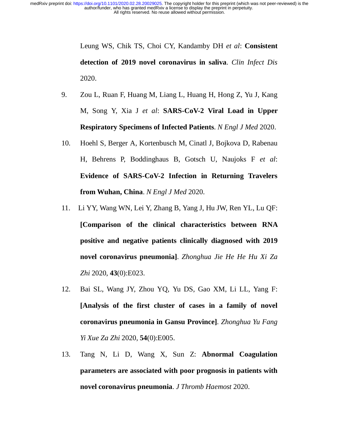> Leung WS, Chik TS, Choi CY, Kandamby DH *et al*: **Consistent detection of 2019 novel coronavirus in saliva**. *Clin Infect Dis*  2020.

- 9. Zou L, Ruan F, Huang M, Liang L, Huang H, Hong Z, Yu J, Kang M, Song Y, Xia J *et al*: **SARS-CoV-2 Viral Load in Upper Respiratory Specimens of Infected Patients**. *N Engl J Med* 2020.
- 10. Hoehl S, Berger A, Kortenbusch M, Cinatl J, Bojkova D, Rabenau H, Behrens P, Boddinghaus B, Gotsch U, Naujoks F *et al*: **Evidence of SARS-CoV-2 Infection in Returning Travelers from Wuhan, China**. *N Engl J Med* 2020.
- 11. Li YY, Wang WN, Lei Y, Zhang B, Yang J, Hu JW, Ren YL, Lu QF: **[Comparison of the clinical characteristics between RNA positive and negative patients clinically diagnosed with 2019 novel coronavirus pneumonia]**. *Zhonghua Jie He He Hu Xi Za Zhi* 2020, **43**(0):E023.
- 12. Bai SL, Wang JY, Zhou YQ, Yu DS, Gao XM, Li LL, Yang F: **[Analysis of the first cluster of cases in a family of novel coronavirus pneumonia in Gansu Province]**. *Zhonghua Yu Fang Yi Xue Za Zhi* 2020, **54**(0):E005.
- 13. Tang N, Li D, Wang X, Sun Z: **Abnormal Coagulation parameters are associated with poor prognosis in patients with novel coronavirus pneumonia**. *J Thromb Haemost* 2020.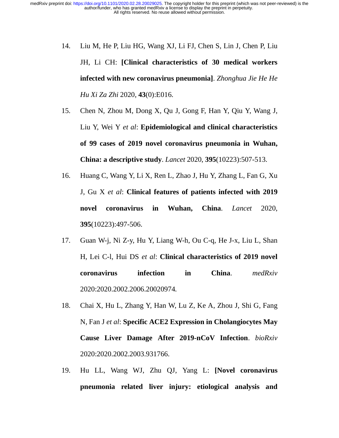- 14. Liu M, He P, Liu HG, Wang XJ, Li FJ, Chen S, Lin J, Chen P, Liu JH, Li CH: **[Clinical characteristics of 30 medical workers infected with new coronavirus pneumonia]**. *Zhonghua Jie He He Hu Xi Za Zhi* 2020, **43**(0):E016.
- 15. Chen N, Zhou M, Dong X, Qu J, Gong F, Han Y, Qiu Y, Wang J, Liu Y, Wei Y *et al*: **Epidemiological and clinical characteristics of 99 cases of 2019 novel coronavirus pneumonia in Wuhan, China: a descriptive study**. *Lancet* 2020, **395**(10223):507-513.
- 16. Huang C, Wang Y, Li X, Ren L, Zhao J, Hu Y, Zhang L, Fan G, Xu J, Gu X *et al*: **Clinical features of patients infected with 2019 novel coronavirus in Wuhan, China**. *Lancet* 2020, **395**(10223):497-506.
- 17. Guan W-j, Ni Z-y, Hu Y, Liang W-h, Ou C-q, He J-x, Liu L, Shan H, Lei C-l, Hui DS *et al*: **Clinical characteristics of 2019 novel coronavirus infection in China**. *medRxiv*  2020:2020.2002.2006.20020974.
- 18. Chai X, Hu L, Zhang Y, Han W, Lu Z, Ke A, Zhou J, Shi G, Fang N, Fan J *et al*: **Specific ACE2 Expression in Cholangiocytes May Cause Liver Damage After 2019-nCoV Infection**. *bioRxiv*  2020:2020.2002.2003.931766.
- 19. Hu LL, Wang WJ, Zhu QJ, Yang L: **[Novel coronavirus pneumonia related liver injury: etiological analysis and**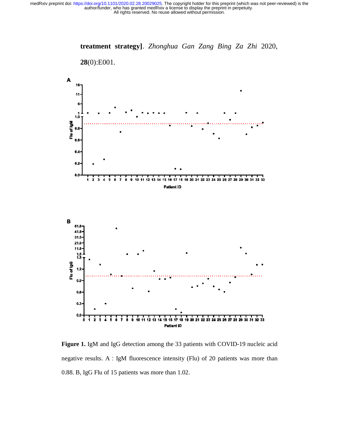

**treatment strategy]**. *Zhonghua Gan Zang Bing Za Zhi* 2020,

**Figure 1.** IgM and IgG detection among the 33 patients with COVID-19 nucleic acid negative results. A:IgM fluorescence intensity (Flu) of 20 patients was more than 0.88. B, IgG Flu of 15 patients was more than 1.02.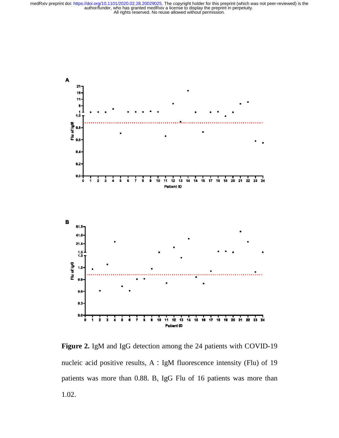

**Figure 2.** IgM and IgG detection among the 24 patients with COVID-19 nucleic acid positive results, A:IgM fluorescence intensity (Flu) of 19 patients was more than 0.88. B, IgG Flu of 16 patients was more than 1.02.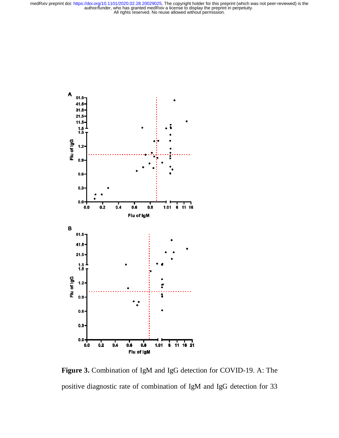

**Figure 3.** Combination of IgM and IgG detection for COVID-19. A: The positive diagnostic rate of combination of IgM and IgG detection for 33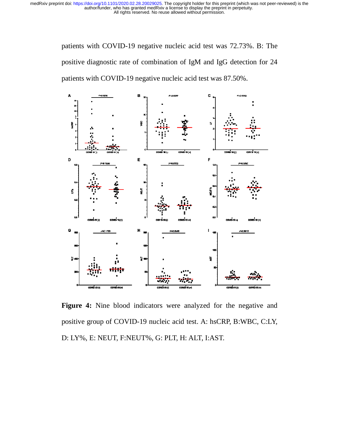> patients with COVID-19 negative nucleic acid test was 72.73%. B: The positive diagnostic rate of combination of IgM and IgG detection for 24 patients with COVID-19 negative nucleic acid test was 87.50%.



Figure 4: Nine blood indicators were analyzed for the negative and positive group of COVID-19 nucleic acid test. A: hsCRP, B:WBC, C:LY, D: LY%, E: NEUT, F:NEUT%, G: PLT, H: ALT, I:AST.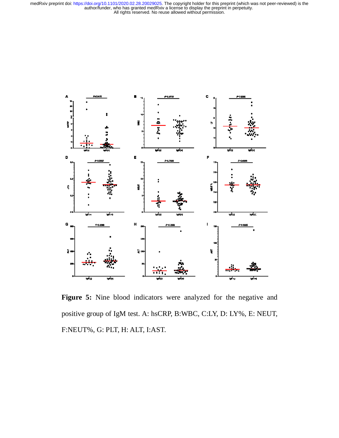

Figure 5: Nine blood indicators were analyzed for the negative and positive group of IgM test. A: hsCRP, B:WBC, C:LY, D: LY%, E: NEUT, F:NEUT%, G: PLT, H: ALT, I:AST.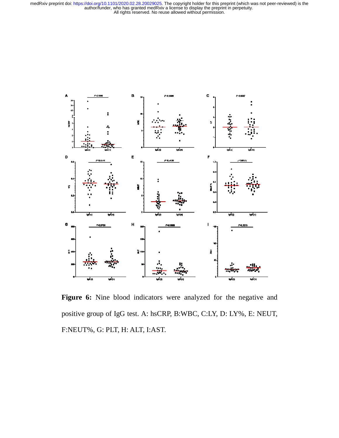

Figure 6: Nine blood indicators were analyzed for the negative and positive group of IgG test. A: hsCRP, B:WBC, C:LY, D: LY%, E: NEUT, F:NEUT%, G: PLT, H: ALT, I:AST.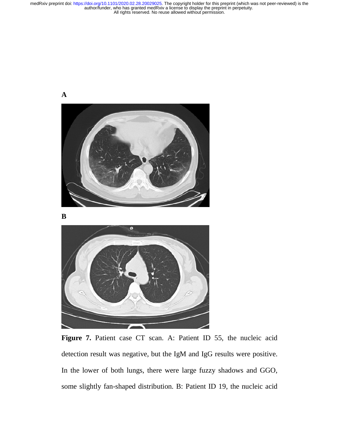



Figure 7. Patient case CT scan. A: Patient ID 55, the nucleic acid detection result was negative, but the IgM and IgG results were positive. In the lower of both lungs, there were large fuzzy shadows and GGO, some slightly fan-shaped distribution. B: Patient ID 19, the nucleic acid